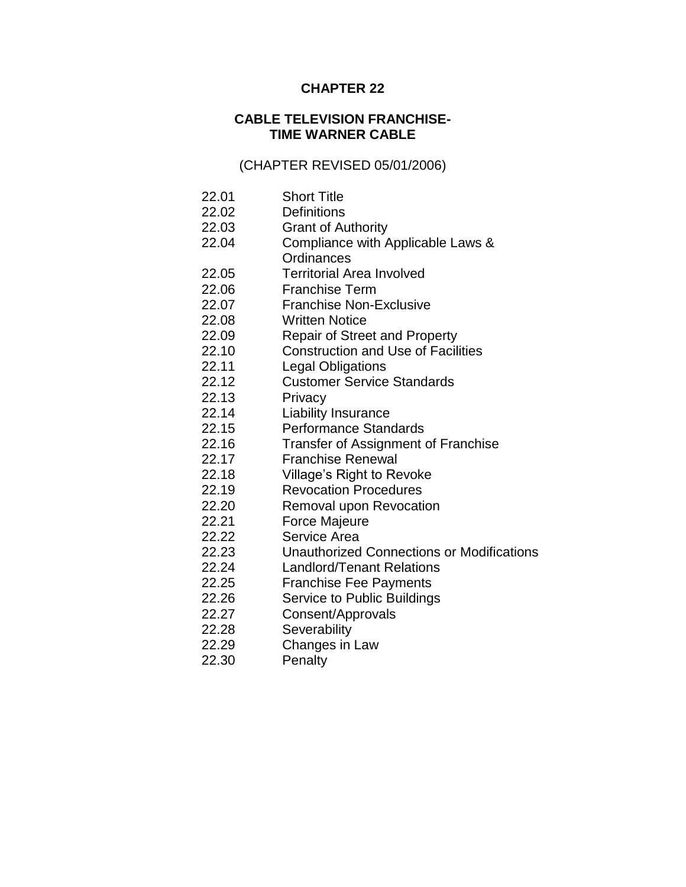# **CHAPTER 22**

# **CABLE TELEVISION FRANCHISE-TIME WARNER CABLE**

# (CHAPTER REVISED 05/01/2006)

- 22.01 Short Title
- 22.02 Definitions
- 22.03 Grant of Authority
- 22.04 Compliance with Applicable Laws & **Ordinances**
- 22.05 Territorial Area Involved
- 22.06 Franchise Term
- 22.07 Franchise Non-Exclusive
- 22.08 Written Notice
- 22.09 Repair of Street and Property
- 22.10 Construction and Use of Facilities
- 22.11 Legal Obligations
- 22.12 Customer Service Standards
- 22.13 Privacy
- 22.14 Liability Insurance
- 22.15 Performance Standards
- 22.16 Transfer of Assignment of Franchise
- 22.17 Franchise Renewal
- 22.18 Village's Right to Revoke
- 22.19 Revocation Procedures
- 22.20 Removal upon Revocation
- 22.21 Force Majeure
- 22.22 Service Area
- 22.23 Unauthorized Connections or Modifications
- 22.24 Landlord/Tenant Relations
- 22.25 Franchise Fee Payments
- 22.26 Service to Public Buildings
- 22.27 Consent/Approvals
- 22.28 Severability
- 22.29 Changes in Law
- 22.30 Penalty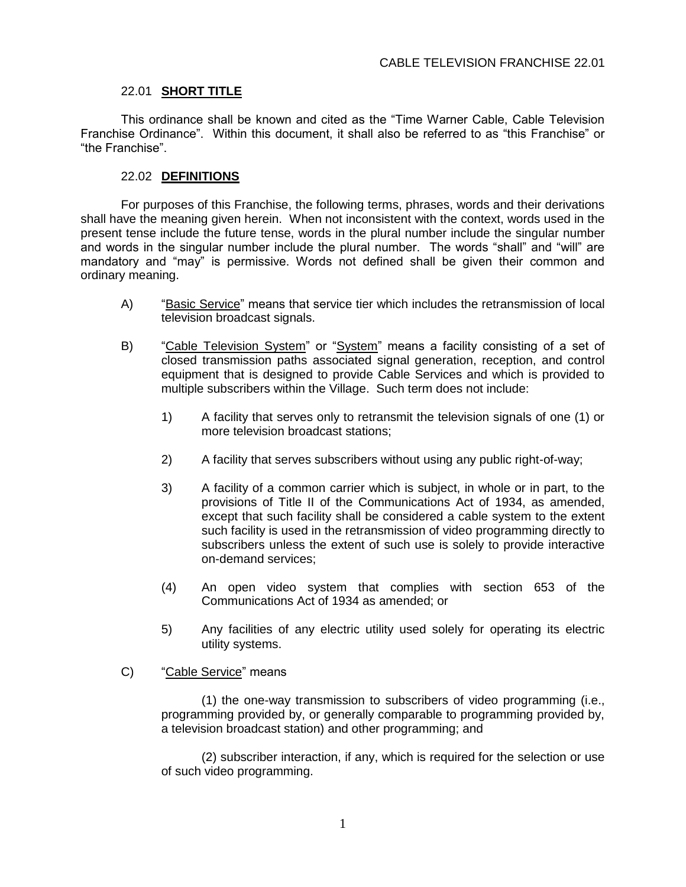### 22.01 **SHORT TITLE**

This ordinance shall be known and cited as the "Time Warner Cable, Cable Television Franchise Ordinance". Within this document, it shall also be referred to as "this Franchise" or "the Franchise".

### 22.02 **DEFINITIONS**

For purposes of this Franchise, the following terms, phrases, words and their derivations shall have the meaning given herein. When not inconsistent with the context, words used in the present tense include the future tense, words in the plural number include the singular number and words in the singular number include the plural number. The words "shall" and "will" are mandatory and "may" is permissive. Words not defined shall be given their common and ordinary meaning.

- A) "Basic Service" means that service tier which includes the retransmission of local television broadcast signals.
- B) "Cable Television System" or "System" means a facility consisting of a set of closed transmission paths associated signal generation, reception, and control equipment that is designed to provide Cable Services and which is provided to multiple subscribers within the Village. Such term does not include:
	- 1) A facility that serves only to retransmit the television signals of one (1) or more television broadcast stations;
	- 2) A facility that serves subscribers without using any public right-of-way;
	- 3) A facility of a common carrier which is subject, in whole or in part, to the provisions of Title II of the Communications Act of 1934, as amended, except that such facility shall be considered a cable system to the extent such facility is used in the retransmission of video programming directly to subscribers unless the extent of such use is solely to provide interactive on-demand services;
	- (4) An open video system that complies with section 653 of the Communications Act of 1934 as amended; or
	- 5) Any facilities of any electric utility used solely for operating its electric utility systems.
- C) "Cable Service" means

(1) the one-way transmission to subscribers of video programming (i.e., programming provided by, or generally comparable to programming provided by, a television broadcast station) and other programming; and

(2) subscriber interaction, if any, which is required for the selection or use of such video programming.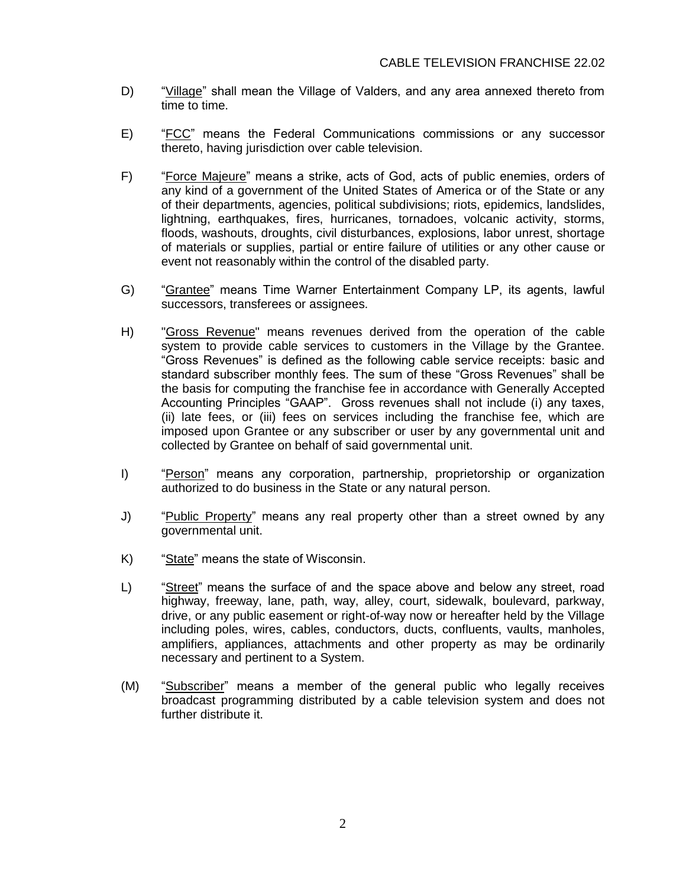- D) "Village" shall mean the Village of Valders, and any area annexed thereto from time to time.
- E) "FCC" means the Federal Communications commissions or any successor thereto, having jurisdiction over cable television.
- F) "Force Majeure" means a strike, acts of God, acts of public enemies, orders of any kind of a government of the United States of America or of the State or any of their departments, agencies, political subdivisions; riots, epidemics, landslides, lightning, earthquakes, fires, hurricanes, tornadoes, volcanic activity, storms, floods, washouts, droughts, civil disturbances, explosions, labor unrest, shortage of materials or supplies, partial or entire failure of utilities or any other cause or event not reasonably within the control of the disabled party.
- G) "Grantee" means Time Warner Entertainment Company LP, its agents, lawful successors, transferees or assignees.
- H) "Gross Revenue" means revenues derived from the operation of the cable system to provide cable services to customers in the Village by the Grantee. "Gross Revenues" is defined as the following cable service receipts: basic and standard subscriber monthly fees. The sum of these "Gross Revenues" shall be the basis for computing the franchise fee in accordance with Generally Accepted Accounting Principles "GAAP". Gross revenues shall not include (i) any taxes, (ii) late fees, or (iii) fees on services including the franchise fee, which are imposed upon Grantee or any subscriber or user by any governmental unit and collected by Grantee on behalf of said governmental unit.
- I) "Person" means any corporation, partnership, proprietorship or organization authorized to do business in the State or any natural person.
- J) "Public Property" means any real property other than a street owned by any governmental unit.
- K) "State" means the state of Wisconsin.
- L) "Street" means the surface of and the space above and below any street, road highway, freeway, lane, path, way, alley, court, sidewalk, boulevard, parkway, drive, or any public easement or right-of-way now or hereafter held by the Village including poles, wires, cables, conductors, ducts, confluents, vaults, manholes, amplifiers, appliances, attachments and other property as may be ordinarily necessary and pertinent to a System.
- (M) "Subscriber" means a member of the general public who legally receives broadcast programming distributed by a cable television system and does not further distribute it.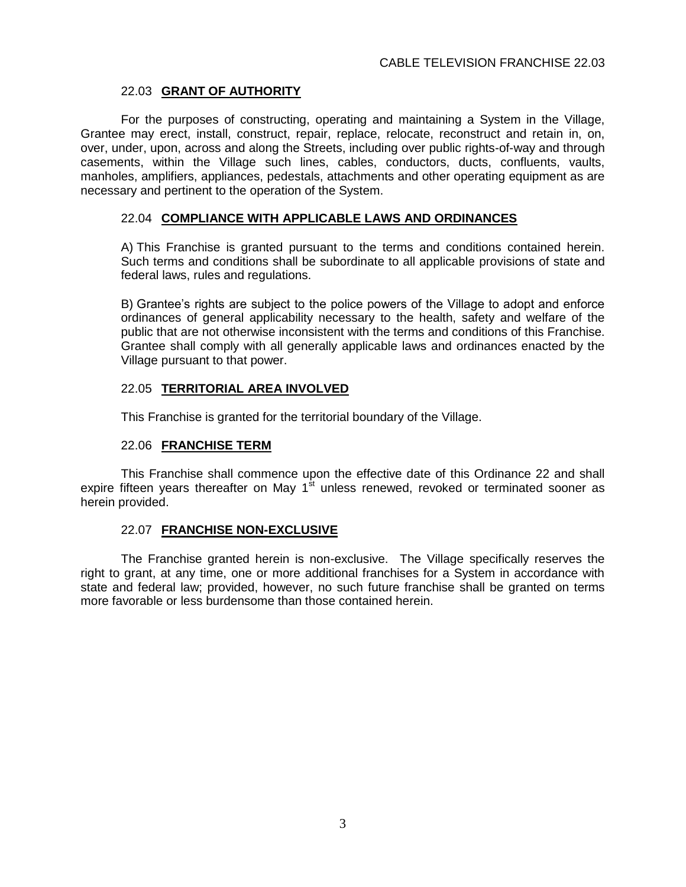# 22.03 **GRANT OF AUTHORITY**

For the purposes of constructing, operating and maintaining a System in the Village, Grantee may erect, install, construct, repair, replace, relocate, reconstruct and retain in, on, over, under, upon, across and along the Streets, including over public rights-of-way and through casements, within the Village such lines, cables, conductors, ducts, confluents, vaults, manholes, amplifiers, appliances, pedestals, attachments and other operating equipment as are necessary and pertinent to the operation of the System.

### 22.04 **COMPLIANCE WITH APPLICABLE LAWS AND ORDINANCES**

A) This Franchise is granted pursuant to the terms and conditions contained herein. Such terms and conditions shall be subordinate to all applicable provisions of state and federal laws, rules and regulations.

B) Grantee's rights are subject to the police powers of the Village to adopt and enforce ordinances of general applicability necessary to the health, safety and welfare of the public that are not otherwise inconsistent with the terms and conditions of this Franchise. Grantee shall comply with all generally applicable laws and ordinances enacted by the Village pursuant to that power.

### 22.05 **TERRITORIAL AREA INVOLVED**

This Franchise is granted for the territorial boundary of the Village.

#### 22.06 **FRANCHISE TERM**

This Franchise shall commence upon the effective date of this Ordinance 22 and shall expire fifteen vears thereafter on May  $1<sup>st</sup>$  unless renewed, revoked or terminated sooner as herein provided.

# 22.07 **FRANCHISE NON-EXCLUSIVE**

The Franchise granted herein is non-exclusive. The Village specifically reserves the right to grant, at any time, one or more additional franchises for a System in accordance with state and federal law; provided, however, no such future franchise shall be granted on terms more favorable or less burdensome than those contained herein.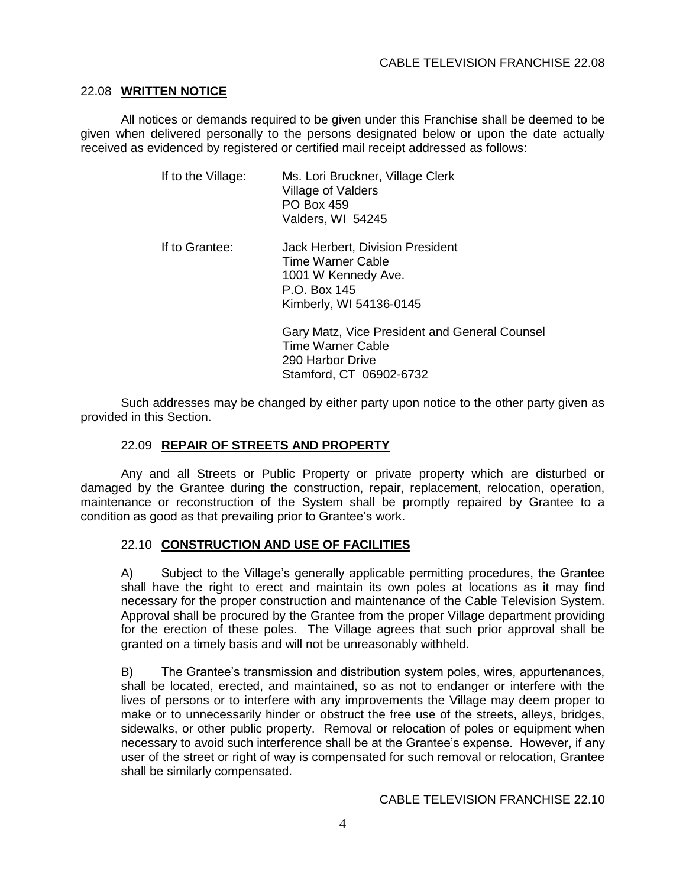#### 22.08 **WRITTEN NOTICE**

All notices or demands required to be given under this Franchise shall be deemed to be given when delivered personally to the persons designated below or upon the date actually received as evidenced by registered or certified mail receipt addressed as follows:

| If to the Village: | Ms. Lori Bruckner, Village Clerk<br>Village of Valders<br><b>PO Box 459</b><br>Valders, WI 54245                        |
|--------------------|-------------------------------------------------------------------------------------------------------------------------|
| If to Grantee:     | Jack Herbert, Division President<br>Time Warner Cable<br>1001 W Kennedy Ave.<br>P.O. Box 145<br>Kimberly, WI 54136-0145 |
|                    | Gary Matz, Vice President and General Counsel<br>Time Warner Cable<br>290 Harbor Drive<br>Stamford, CT 06902-6732       |

Such addresses may be changed by either party upon notice to the other party given as provided in this Section.

# 22.09 **REPAIR OF STREETS AND PROPERTY**

Any and all Streets or Public Property or private property which are disturbed or damaged by the Grantee during the construction, repair, replacement, relocation, operation, maintenance or reconstruction of the System shall be promptly repaired by Grantee to a condition as good as that prevailing prior to Grantee's work.

# 22.10 **CONSTRUCTION AND USE OF FACILITIES**

A) Subject to the Village's generally applicable permitting procedures, the Grantee shall have the right to erect and maintain its own poles at locations as it may find necessary for the proper construction and maintenance of the Cable Television System. Approval shall be procured by the Grantee from the proper Village department providing for the erection of these poles. The Village agrees that such prior approval shall be granted on a timely basis and will not be unreasonably withheld.

B) The Grantee's transmission and distribution system poles, wires, appurtenances, shall be located, erected, and maintained, so as not to endanger or interfere with the lives of persons or to interfere with any improvements the Village may deem proper to make or to unnecessarily hinder or obstruct the free use of the streets, alleys, bridges, sidewalks, or other public property. Removal or relocation of poles or equipment when necessary to avoid such interference shall be at the Grantee's expense. However, if any user of the street or right of way is compensated for such removal or relocation, Grantee shall be similarly compensated.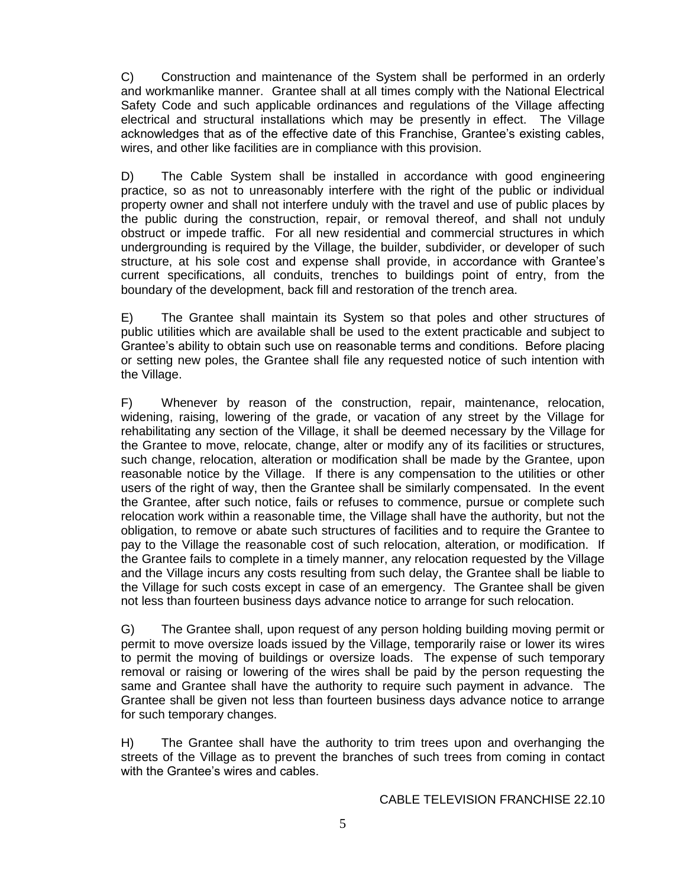C) Construction and maintenance of the System shall be performed in an orderly and workmanlike manner. Grantee shall at all times comply with the National Electrical Safety Code and such applicable ordinances and regulations of the Village affecting electrical and structural installations which may be presently in effect. The Village acknowledges that as of the effective date of this Franchise, Grantee's existing cables, wires, and other like facilities are in compliance with this provision.

D) The Cable System shall be installed in accordance with good engineering practice, so as not to unreasonably interfere with the right of the public or individual property owner and shall not interfere unduly with the travel and use of public places by the public during the construction, repair, or removal thereof, and shall not unduly obstruct or impede traffic. For all new residential and commercial structures in which undergrounding is required by the Village, the builder, subdivider, or developer of such structure, at his sole cost and expense shall provide, in accordance with Grantee's current specifications, all conduits, trenches to buildings point of entry, from the boundary of the development, back fill and restoration of the trench area.

E) The Grantee shall maintain its System so that poles and other structures of public utilities which are available shall be used to the extent practicable and subject to Grantee's ability to obtain such use on reasonable terms and conditions. Before placing or setting new poles, the Grantee shall file any requested notice of such intention with the Village.

F) Whenever by reason of the construction, repair, maintenance, relocation, widening, raising, lowering of the grade, or vacation of any street by the Village for rehabilitating any section of the Village, it shall be deemed necessary by the Village for the Grantee to move, relocate, change, alter or modify any of its facilities or structures, such change, relocation, alteration or modification shall be made by the Grantee, upon reasonable notice by the Village. If there is any compensation to the utilities or other users of the right of way, then the Grantee shall be similarly compensated. In the event the Grantee, after such notice, fails or refuses to commence, pursue or complete such relocation work within a reasonable time, the Village shall have the authority, but not the obligation, to remove or abate such structures of facilities and to require the Grantee to pay to the Village the reasonable cost of such relocation, alteration, or modification. If the Grantee fails to complete in a timely manner, any relocation requested by the Village and the Village incurs any costs resulting from such delay, the Grantee shall be liable to the Village for such costs except in case of an emergency. The Grantee shall be given not less than fourteen business days advance notice to arrange for such relocation.

G) The Grantee shall, upon request of any person holding building moving permit or permit to move oversize loads issued by the Village, temporarily raise or lower its wires to permit the moving of buildings or oversize loads. The expense of such temporary removal or raising or lowering of the wires shall be paid by the person requesting the same and Grantee shall have the authority to require such payment in advance. The Grantee shall be given not less than fourteen business days advance notice to arrange for such temporary changes.

H) The Grantee shall have the authority to trim trees upon and overhanging the streets of the Village as to prevent the branches of such trees from coming in contact with the Grantee's wires and cables.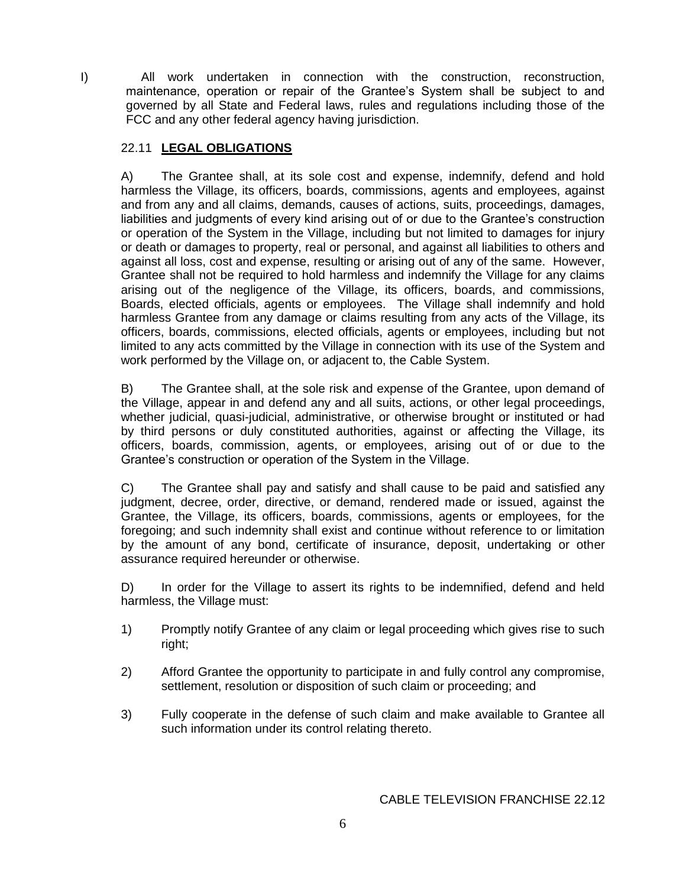I) All work undertaken in connection with the construction, reconstruction, maintenance, operation or repair of the Grantee's System shall be subject to and governed by all State and Federal laws, rules and regulations including those of the FCC and any other federal agency having jurisdiction.

# 22.11 **LEGAL OBLIGATIONS**

A) The Grantee shall, at its sole cost and expense, indemnify, defend and hold harmless the Village, its officers, boards, commissions, agents and employees, against and from any and all claims, demands, causes of actions, suits, proceedings, damages, liabilities and judgments of every kind arising out of or due to the Grantee's construction or operation of the System in the Village, including but not limited to damages for injury or death or damages to property, real or personal, and against all liabilities to others and against all loss, cost and expense, resulting or arising out of any of the same. However, Grantee shall not be required to hold harmless and indemnify the Village for any claims arising out of the negligence of the Village, its officers, boards, and commissions, Boards, elected officials, agents or employees. The Village shall indemnify and hold harmless Grantee from any damage or claims resulting from any acts of the Village, its officers, boards, commissions, elected officials, agents or employees, including but not limited to any acts committed by the Village in connection with its use of the System and work performed by the Village on, or adjacent to, the Cable System.

B) The Grantee shall, at the sole risk and expense of the Grantee, upon demand of the Village, appear in and defend any and all suits, actions, or other legal proceedings, whether judicial, quasi-judicial, administrative, or otherwise brought or instituted or had by third persons or duly constituted authorities, against or affecting the Village, its officers, boards, commission, agents, or employees, arising out of or due to the Grantee's construction or operation of the System in the Village.

C) The Grantee shall pay and satisfy and shall cause to be paid and satisfied any judgment, decree, order, directive, or demand, rendered made or issued, against the Grantee, the Village, its officers, boards, commissions, agents or employees, for the foregoing; and such indemnity shall exist and continue without reference to or limitation by the amount of any bond, certificate of insurance, deposit, undertaking or other assurance required hereunder or otherwise.

D) In order for the Village to assert its rights to be indemnified, defend and held harmless, the Village must:

- 1) Promptly notify Grantee of any claim or legal proceeding which gives rise to such right;
- 2) Afford Grantee the opportunity to participate in and fully control any compromise, settlement, resolution or disposition of such claim or proceeding; and
- 3) Fully cooperate in the defense of such claim and make available to Grantee all such information under its control relating thereto.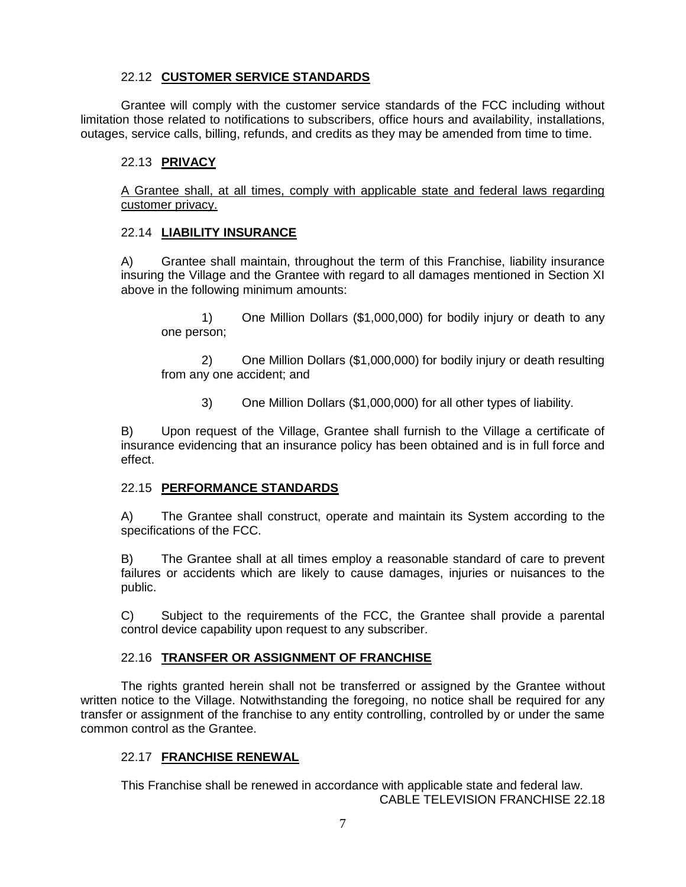# 22.12 **CUSTOMER SERVICE STANDARDS**

Grantee will comply with the customer service standards of the FCC including without limitation those related to notifications to subscribers, office hours and availability, installations, outages, service calls, billing, refunds, and credits as they may be amended from time to time.

# 22.13 **PRIVACY**

A Grantee shall, at all times, comply with applicable state and federal laws regarding customer privacy.

### 22.14 **LIABILITY INSURANCE**

A) Grantee shall maintain, throughout the term of this Franchise, liability insurance insuring the Village and the Grantee with regard to all damages mentioned in Section XI above in the following minimum amounts:

1) One Million Dollars (\$1,000,000) for bodily injury or death to any one person;

2) One Million Dollars (\$1,000,000) for bodily injury or death resulting from any one accident; and

3) One Million Dollars (\$1,000,000) for all other types of liability.

B) Upon request of the Village, Grantee shall furnish to the Village a certificate of insurance evidencing that an insurance policy has been obtained and is in full force and effect.

#### 22.15 **PERFORMANCE STANDARDS**

A) The Grantee shall construct, operate and maintain its System according to the specifications of the FCC.

B) The Grantee shall at all times employ a reasonable standard of care to prevent failures or accidents which are likely to cause damages, injuries or nuisances to the public.

C) Subject to the requirements of the FCC, the Grantee shall provide a parental control device capability upon request to any subscriber.

# 22.16 **TRANSFER OR ASSIGNMENT OF FRANCHISE**

The rights granted herein shall not be transferred or assigned by the Grantee without written notice to the Village. Notwithstanding the foregoing, no notice shall be required for any transfer or assignment of the franchise to any entity controlling, controlled by or under the same common control as the Grantee.

# 22.17 **FRANCHISE RENEWAL**

This Franchise shall be renewed in accordance with applicable state and federal law. CABLE TELEVISION FRANCHISE 22.18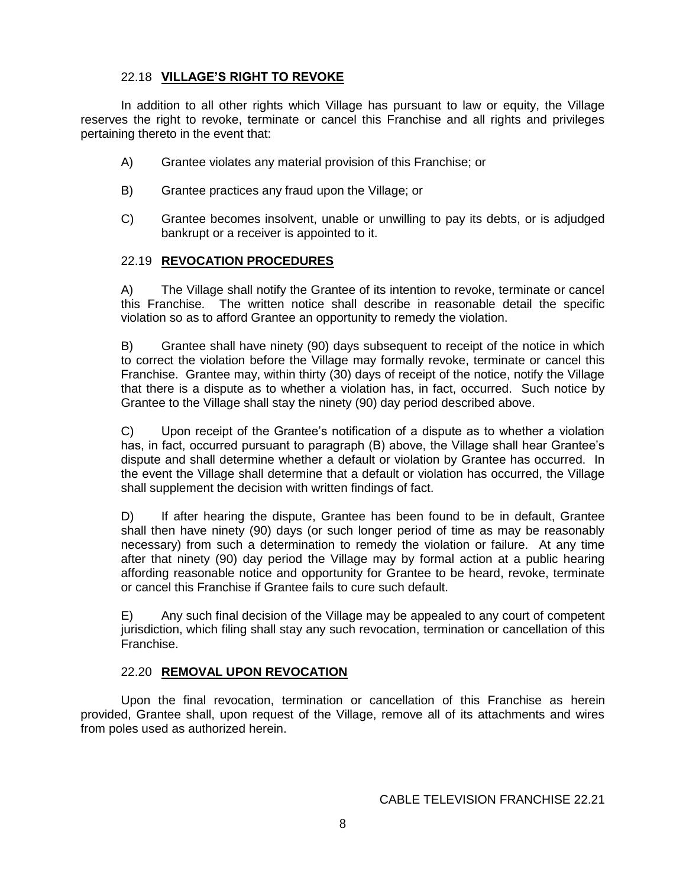# 22.18 **VILLAGE'S RIGHT TO REVOKE**

In addition to all other rights which Village has pursuant to law or equity, the Village reserves the right to revoke, terminate or cancel this Franchise and all rights and privileges pertaining thereto in the event that:

- A) Grantee violates any material provision of this Franchise; or
- B) Grantee practices any fraud upon the Village; or
- C) Grantee becomes insolvent, unable or unwilling to pay its debts, or is adjudged bankrupt or a receiver is appointed to it.

### 22.19 **REVOCATION PROCEDURES**

A) The Village shall notify the Grantee of its intention to revoke, terminate or cancel this Franchise. The written notice shall describe in reasonable detail the specific violation so as to afford Grantee an opportunity to remedy the violation.

B) Grantee shall have ninety (90) days subsequent to receipt of the notice in which to correct the violation before the Village may formally revoke, terminate or cancel this Franchise. Grantee may, within thirty (30) days of receipt of the notice, notify the Village that there is a dispute as to whether a violation has, in fact, occurred. Such notice by Grantee to the Village shall stay the ninety (90) day period described above.

C) Upon receipt of the Grantee's notification of a dispute as to whether a violation has, in fact, occurred pursuant to paragraph (B) above, the Village shall hear Grantee's dispute and shall determine whether a default or violation by Grantee has occurred. In the event the Village shall determine that a default or violation has occurred, the Village shall supplement the decision with written findings of fact.

D) If after hearing the dispute, Grantee has been found to be in default, Grantee shall then have ninety (90) days (or such longer period of time as may be reasonably necessary) from such a determination to remedy the violation or failure. At any time after that ninety (90) day period the Village may by formal action at a public hearing affording reasonable notice and opportunity for Grantee to be heard, revoke, terminate or cancel this Franchise if Grantee fails to cure such default.

E) Any such final decision of the Village may be appealed to any court of competent jurisdiction, which filing shall stay any such revocation, termination or cancellation of this Franchise.

# 22.20 **REMOVAL UPON REVOCATION**

Upon the final revocation, termination or cancellation of this Franchise as herein provided, Grantee shall, upon request of the Village, remove all of its attachments and wires from poles used as authorized herein.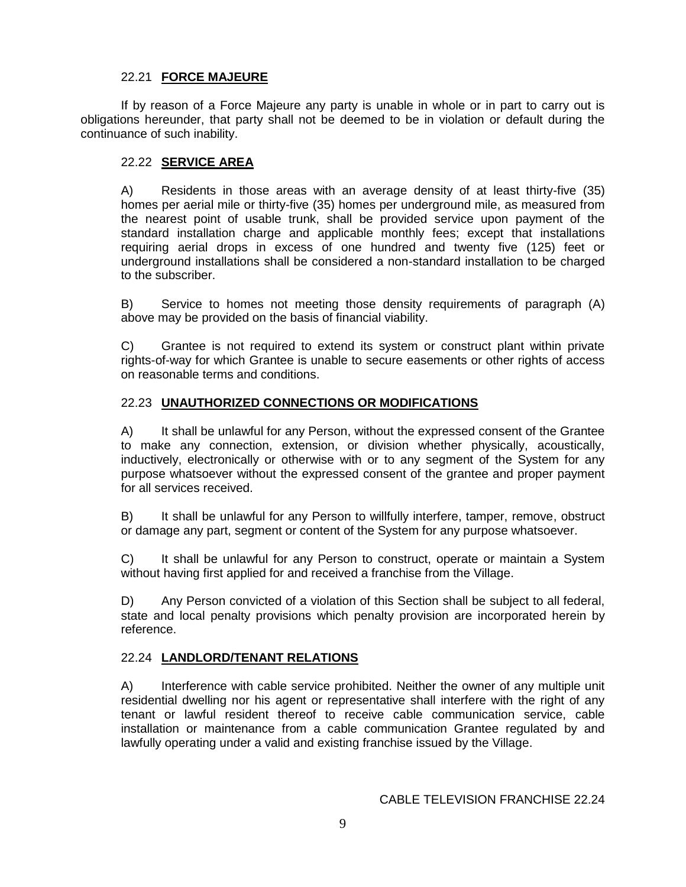# 22.21 **FORCE MAJEURE**

If by reason of a Force Majeure any party is unable in whole or in part to carry out is obligations hereunder, that party shall not be deemed to be in violation or default during the continuance of such inability.

# 22.22 **SERVICE AREA**

A) Residents in those areas with an average density of at least thirty-five (35) homes per aerial mile or thirty-five (35) homes per underground mile, as measured from the nearest point of usable trunk, shall be provided service upon payment of the standard installation charge and applicable monthly fees; except that installations requiring aerial drops in excess of one hundred and twenty five (125) feet or underground installations shall be considered a non-standard installation to be charged to the subscriber.

B) Service to homes not meeting those density requirements of paragraph (A) above may be provided on the basis of financial viability.

C) Grantee is not required to extend its system or construct plant within private rights-of-way for which Grantee is unable to secure easements or other rights of access on reasonable terms and conditions.

# 22.23 **UNAUTHORIZED CONNECTIONS OR MODIFICATIONS**

A) It shall be unlawful for any Person, without the expressed consent of the Grantee to make any connection, extension, or division whether physically, acoustically, inductively, electronically or otherwise with or to any segment of the System for any purpose whatsoever without the expressed consent of the grantee and proper payment for all services received.

B) It shall be unlawful for any Person to willfully interfere, tamper, remove, obstruct or damage any part, segment or content of the System for any purpose whatsoever.

C) It shall be unlawful for any Person to construct, operate or maintain a System without having first applied for and received a franchise from the Village.

D) Any Person convicted of a violation of this Section shall be subject to all federal, state and local penalty provisions which penalty provision are incorporated herein by reference.

# 22.24 **LANDLORD/TENANT RELATIONS**

A) Interference with cable service prohibited. Neither the owner of any multiple unit residential dwelling nor his agent or representative shall interfere with the right of any tenant or lawful resident thereof to receive cable communication service, cable installation or maintenance from a cable communication Grantee regulated by and lawfully operating under a valid and existing franchise issued by the Village.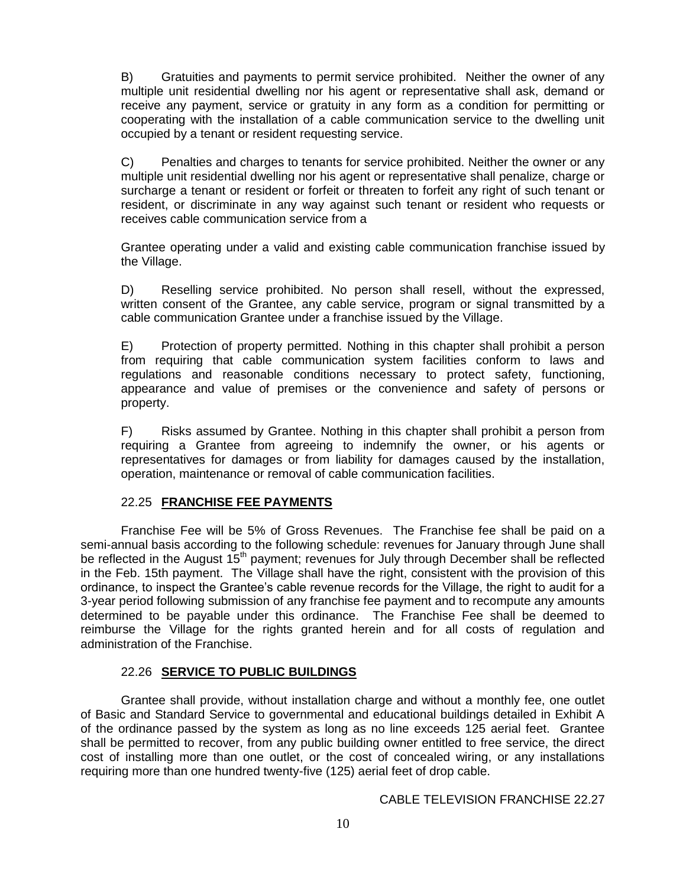B) Gratuities and payments to permit service prohibited. Neither the owner of any multiple unit residential dwelling nor his agent or representative shall ask, demand or receive any payment, service or gratuity in any form as a condition for permitting or cooperating with the installation of a cable communication service to the dwelling unit occupied by a tenant or resident requesting service.

C) Penalties and charges to tenants for service prohibited. Neither the owner or any multiple unit residential dwelling nor his agent or representative shall penalize, charge or surcharge a tenant or resident or forfeit or threaten to forfeit any right of such tenant or resident, or discriminate in any way against such tenant or resident who requests or receives cable communication service from a

Grantee operating under a valid and existing cable communication franchise issued by the Village.

D) Reselling service prohibited. No person shall resell, without the expressed, written consent of the Grantee, any cable service, program or signal transmitted by a cable communication Grantee under a franchise issued by the Village.

E) Protection of property permitted. Nothing in this chapter shall prohibit a person from requiring that cable communication system facilities conform to laws and regulations and reasonable conditions necessary to protect safety, functioning, appearance and value of premises or the convenience and safety of persons or property.

F) Risks assumed by Grantee. Nothing in this chapter shall prohibit a person from requiring a Grantee from agreeing to indemnify the owner, or his agents or representatives for damages or from liability for damages caused by the installation, operation, maintenance or removal of cable communication facilities.

# 22.25 **FRANCHISE FEE PAYMENTS**

Franchise Fee will be 5% of Gross Revenues. The Franchise fee shall be paid on a semi-annual basis according to the following schedule: revenues for January through June shall be reflected in the August 15<sup>th</sup> payment; revenues for July through December shall be reflected in the Feb. 15th payment. The Village shall have the right, consistent with the provision of this ordinance, to inspect the Grantee's cable revenue records for the Village, the right to audit for a 3-year period following submission of any franchise fee payment and to recompute any amounts determined to be payable under this ordinance. The Franchise Fee shall be deemed to reimburse the Village for the rights granted herein and for all costs of regulation and administration of the Franchise.

#### 22.26 **SERVICE TO PUBLIC BUILDINGS**

Grantee shall provide, without installation charge and without a monthly fee, one outlet of Basic and Standard Service to governmental and educational buildings detailed in Exhibit A of the ordinance passed by the system as long as no line exceeds 125 aerial feet. Grantee shall be permitted to recover, from any public building owner entitled to free service, the direct cost of installing more than one outlet, or the cost of concealed wiring, or any installations requiring more than one hundred twenty-five (125) aerial feet of drop cable.

CABLE TELEVISION FRANCHISE 22.27